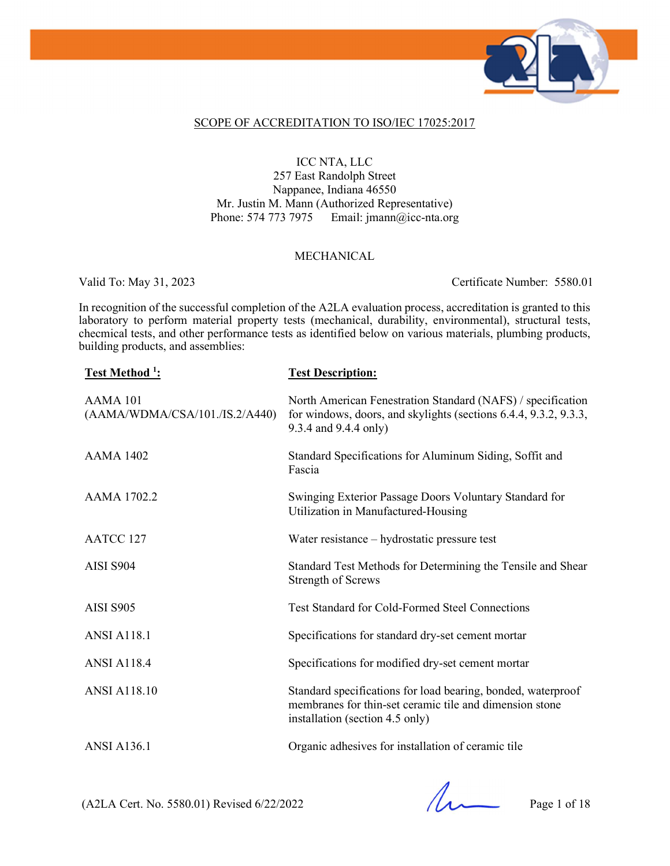

#### SCOPE OF ACCREDITATION TO ISO/IEC 17025:2017

### ICC NTA, LLC

257 East Randolph Street Nappanee, Indiana 46550 Mr. Justin M. Mann (Authorized Representative) Phone: 574 773 7975 Email: jmann@icc-nta.org

#### MECHANICAL

Valid To: May 31, 2023 Certificate Number: 5580.01

In recognition of the successful completion of the A2LA evaluation process, accreditation is granted to this laboratory to perform material property tests (mechanical, durability, environmental), structural tests, checmical tests, and other performance tests as identified below on various materials, plumbing products, building products, and assemblies:

| Test Method <sup>1</sup> :                 | <b>Test Description:</b>                                                                                                                                   |
|--------------------------------------------|------------------------------------------------------------------------------------------------------------------------------------------------------------|
| AAMA 101<br>(AAMA/WDMA/CSA/101./IS.2/A440) | North American Fenestration Standard (NAFS) / specification<br>for windows, doors, and skylights (sections 6.4.4, 9.3.2, 9.3.3,<br>9.3.4 and 9.4.4 only)   |
| <b>AAMA 1402</b>                           | Standard Specifications for Aluminum Siding, Soffit and<br>Fascia                                                                                          |
| AAMA 1702.2                                | Swinging Exterior Passage Doors Voluntary Standard for<br>Utilization in Manufactured-Housing                                                              |
| AATCC 127                                  | Water resistance – hydrostatic pressure test                                                                                                               |
| AISI S904                                  | Standard Test Methods for Determining the Tensile and Shear<br><b>Strength of Screws</b>                                                                   |
| <b>AISI S905</b>                           | <b>Test Standard for Cold-Formed Steel Connections</b>                                                                                                     |
| <b>ANSI A118.1</b>                         | Specifications for standard dry-set cement mortar                                                                                                          |
| <b>ANSI A118.4</b>                         | Specifications for modified dry-set cement mortar                                                                                                          |
| <b>ANSI A118.10</b>                        | Standard specifications for load bearing, bonded, waterproof<br>membranes for thin-set ceramic tile and dimension stone<br>installation (section 4.5 only) |
| <b>ANSI A136.1</b>                         | Organic adhesives for installation of ceramic tile                                                                                                         |

 $(A2LA$  Cert. No. 5580.01) Revised 6/22/2022 Page 1 of 18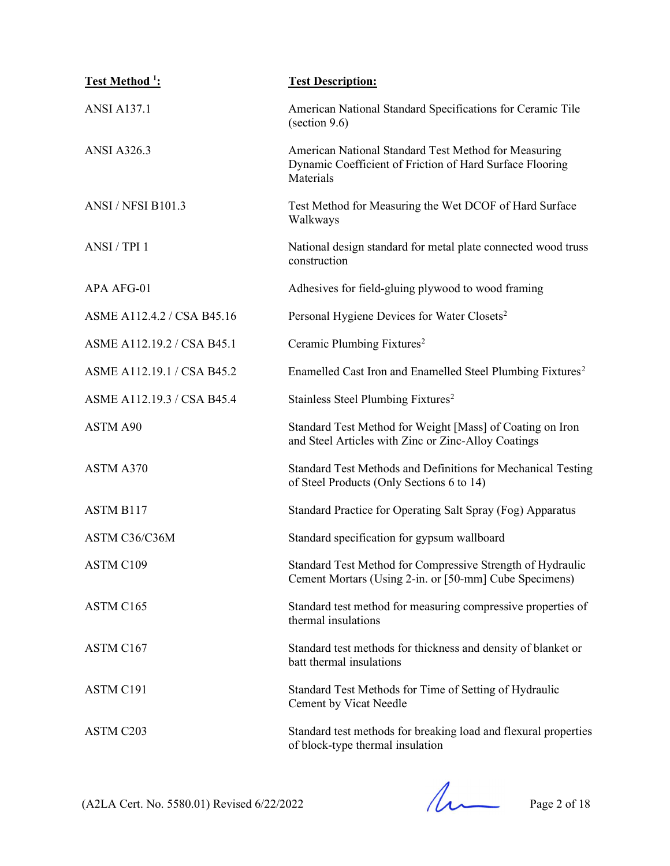| Test Method <sup>1</sup> : | <b>Test Description:</b>                                                                                                      |
|----------------------------|-------------------------------------------------------------------------------------------------------------------------------|
| <b>ANSI A137.1</b>         | American National Standard Specifications for Ceramic Tile<br>$\left( \arccos 9.6 \right)$                                    |
| <b>ANSI A326.3</b>         | American National Standard Test Method for Measuring<br>Dynamic Coefficient of Friction of Hard Surface Flooring<br>Materials |
| <b>ANSI / NFSI B101.3</b>  | Test Method for Measuring the Wet DCOF of Hard Surface<br>Walkways                                                            |
| ANSI / TPI 1               | National design standard for metal plate connected wood truss<br>construction                                                 |
| APA AFG-01                 | Adhesives for field-gluing plywood to wood framing                                                                            |
| ASME A112.4.2 / CSA B45.16 | Personal Hygiene Devices for Water Closets <sup>2</sup>                                                                       |
| ASME A112.19.2 / CSA B45.1 | Ceramic Plumbing Fixtures <sup>2</sup>                                                                                        |
| ASME A112.19.1 / CSA B45.2 | Enamelled Cast Iron and Enamelled Steel Plumbing Fixtures <sup>2</sup>                                                        |
| ASME A112.19.3 / CSA B45.4 | Stainless Steel Plumbing Fixtures <sup>2</sup>                                                                                |
| ASTM A90                   | Standard Test Method for Weight [Mass] of Coating on Iron<br>and Steel Articles with Zinc or Zinc-Alloy Coatings              |
| ASTM A370                  | Standard Test Methods and Definitions for Mechanical Testing<br>of Steel Products (Only Sections 6 to 14)                     |
| ASTM B117                  | Standard Practice for Operating Salt Spray (Fog) Apparatus                                                                    |
| ASTM C36/C36M              | Standard specification for gypsum wallboard                                                                                   |
| ASTM C109                  | Standard Test Method for Compressive Strength of Hydraulic<br>Cement Mortars (Using 2-in. or [50-mm] Cube Specimens)          |
| ASTM C165                  | Standard test method for measuring compressive properties of<br>thermal insulations                                           |
| ASTM C167                  | Standard test methods for thickness and density of blanket or<br>batt thermal insulations                                     |
| ASTM C191                  | Standard Test Methods for Time of Setting of Hydraulic<br>Cement by Vicat Needle                                              |
| ASTM C203                  | Standard test methods for breaking load and flexural properties<br>of block-type thermal insulation                           |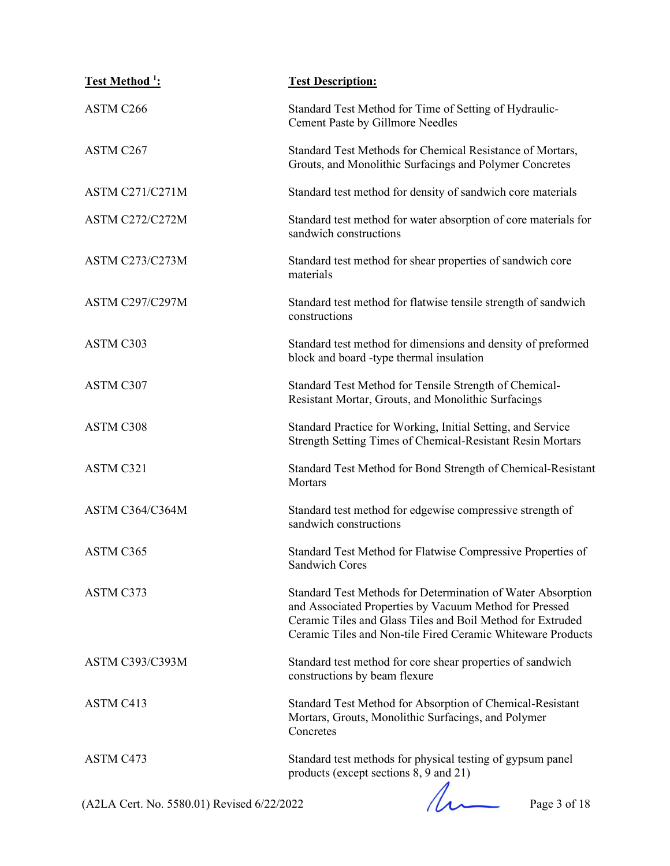| Test Method <sup>1</sup> : | <b>Test Description:</b>                                                                                                                                                                                                                           |
|----------------------------|----------------------------------------------------------------------------------------------------------------------------------------------------------------------------------------------------------------------------------------------------|
| ASTM C266                  | Standard Test Method for Time of Setting of Hydraulic-<br>Cement Paste by Gillmore Needles                                                                                                                                                         |
| ASTM C267                  | Standard Test Methods for Chemical Resistance of Mortars,<br>Grouts, and Monolithic Surfacings and Polymer Concretes                                                                                                                               |
| <b>ASTM C271/C271M</b>     | Standard test method for density of sandwich core materials                                                                                                                                                                                        |
| ASTM C272/C272M            | Standard test method for water absorption of core materials for<br>sandwich constructions                                                                                                                                                          |
| <b>ASTM C273/C273M</b>     | Standard test method for shear properties of sandwich core<br>materials                                                                                                                                                                            |
| <b>ASTM C297/C297M</b>     | Standard test method for flatwise tensile strength of sandwich<br>constructions                                                                                                                                                                    |
| ASTM C303                  | Standard test method for dimensions and density of preformed<br>block and board -type thermal insulation                                                                                                                                           |
| ASTM C307                  | Standard Test Method for Tensile Strength of Chemical-<br>Resistant Mortar, Grouts, and Monolithic Surfacings                                                                                                                                      |
| ASTM C308                  | Standard Practice for Working, Initial Setting, and Service<br>Strength Setting Times of Chemical-Resistant Resin Mortars                                                                                                                          |
| ASTM C321                  | Standard Test Method for Bond Strength of Chemical-Resistant<br>Mortars                                                                                                                                                                            |
| ASTM C364/C364M            | Standard test method for edgewise compressive strength of<br>sandwich constructions                                                                                                                                                                |
| ASTM C365                  | Standard Test Method for Flatwise Compressive Properties of<br><b>Sandwich Cores</b>                                                                                                                                                               |
| ASTM C373                  | Standard Test Methods for Determination of Water Absorption<br>and Associated Properties by Vacuum Method for Pressed<br>Ceramic Tiles and Glass Tiles and Boil Method for Extruded<br>Ceramic Tiles and Non-tile Fired Ceramic Whiteware Products |
| <b>ASTM C393/C393M</b>     | Standard test method for core shear properties of sandwich<br>constructions by beam flexure                                                                                                                                                        |
| ASTM C413                  | Standard Test Method for Absorption of Chemical-Resistant<br>Mortars, Grouts, Monolithic Surfacings, and Polymer<br>Concretes                                                                                                                      |
| ASTM C473                  | Standard test methods for physical testing of gypsum panel<br>products (except sections 8, 9 and 21)                                                                                                                                               |

(A2LA Cert. No. 5580.01) Revised 6/22/2022 Page 3 of 18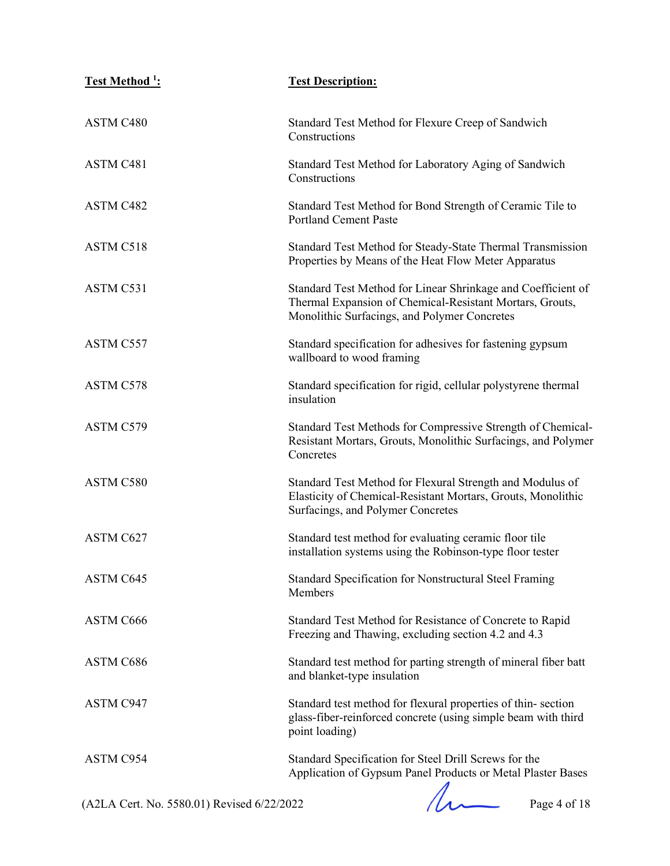| <b>Test Method 1:</b> | <b>Test Description:</b>                                                                                                                                                 |
|-----------------------|--------------------------------------------------------------------------------------------------------------------------------------------------------------------------|
| ASTM C480             | Standard Test Method for Flexure Creep of Sandwich<br>Constructions                                                                                                      |
| ASTM C481             | Standard Test Method for Laboratory Aging of Sandwich<br>Constructions                                                                                                   |
| ASTM C482             | Standard Test Method for Bond Strength of Ceramic Tile to<br><b>Portland Cement Paste</b>                                                                                |
| ASTM C518             | Standard Test Method for Steady-State Thermal Transmission<br>Properties by Means of the Heat Flow Meter Apparatus                                                       |
| ASTM C531             | Standard Test Method for Linear Shrinkage and Coefficient of<br>Thermal Expansion of Chemical-Resistant Mortars, Grouts,<br>Monolithic Surfacings, and Polymer Concretes |
| ASTM C557             | Standard specification for adhesives for fastening gypsum<br>wallboard to wood framing                                                                                   |
| ASTM C578             | Standard specification for rigid, cellular polystyrene thermal<br>insulation                                                                                             |
| ASTM C579             | Standard Test Methods for Compressive Strength of Chemical-<br>Resistant Mortars, Grouts, Monolithic Surfacings, and Polymer<br>Concretes                                |
| ASTM C580             | Standard Test Method for Flexural Strength and Modulus of<br>Elasticity of Chemical-Resistant Mortars, Grouts, Monolithic<br>Surfacings, and Polymer Concretes           |
| ASTM C627             | Standard test method for evaluating ceramic floor tile<br>installation systems using the Robinson-type floor tester                                                      |
| ASTM C645             | Standard Specification for Nonstructural Steel Framing<br>Members                                                                                                        |
| ASTM C666             | Standard Test Method for Resistance of Concrete to Rapid<br>Freezing and Thawing, excluding section 4.2 and 4.3                                                          |
| ASTM C686             | Standard test method for parting strength of mineral fiber batt<br>and blanket-type insulation                                                                           |
| ASTM C947             | Standard test method for flexural properties of thin-section<br>glass-fiber-reinforced concrete (using simple beam with third<br>point loading)                          |
| ASTM C954             | Standard Specification for Steel Drill Screws for the<br>Application of Gypsum Panel Products or Metal Plaster Bases                                                     |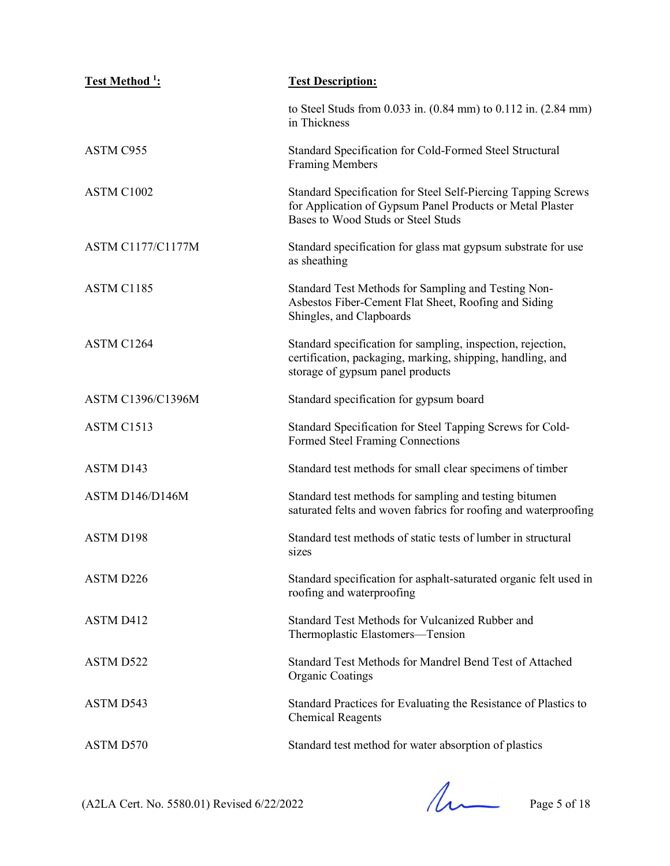| <u>Test Method <sup>1</sup></u> : | <b>Test Description:</b>                                                                                                                                         |
|-----------------------------------|------------------------------------------------------------------------------------------------------------------------------------------------------------------|
|                                   | to Steel Studs from 0.033 in. (0.84 mm) to 0.112 in. (2.84 mm)<br>in Thickness                                                                                   |
| ASTM C955                         | Standard Specification for Cold-Formed Steel Structural<br><b>Framing Members</b>                                                                                |
| ASTM C1002                        | Standard Specification for Steel Self-Piercing Tapping Screws<br>for Application of Gypsum Panel Products or Metal Plaster<br>Bases to Wood Studs or Steel Studs |
| <b>ASTM C1177/C1177M</b>          | Standard specification for glass mat gypsum substrate for use<br>as sheathing                                                                                    |
| ASTM C1185                        | Standard Test Methods for Sampling and Testing Non-<br>Asbestos Fiber-Cement Flat Sheet, Roofing and Siding<br>Shingles, and Clapboards                          |
| ASTM C1264                        | Standard specification for sampling, inspection, rejection,<br>certification, packaging, marking, shipping, handling, and<br>storage of gypsum panel products    |
| <b>ASTM C1396/C1396M</b>          | Standard specification for gypsum board                                                                                                                          |
| ASTM C1513                        | Standard Specification for Steel Tapping Screws for Cold-<br>Formed Steel Framing Connections                                                                    |
| ASTM D143                         | Standard test methods for small clear specimens of timber                                                                                                        |
| ASTM D146/D146M                   | Standard test methods for sampling and testing bitumen<br>saturated felts and woven fabrics for roofing and waterproofing                                        |
| <b>ASTM D198</b>                  | Standard test methods of static tests of lumber in structural<br>sizes                                                                                           |
| ASTM D226                         | Standard specification for asphalt-saturated organic felt used in<br>roofing and waterproofing                                                                   |
| ASTM D412                         | Standard Test Methods for Vulcanized Rubber and<br>Thermoplastic Elastomers—Tension                                                                              |
| ASTM D522                         | Standard Test Methods for Mandrel Bend Test of Attached<br><b>Organic Coatings</b>                                                                               |
| ASTM D543                         | Standard Practices for Evaluating the Resistance of Plastics to<br><b>Chemical Reagents</b>                                                                      |
| ASTM D570                         | Standard test method for water absorption of plastics                                                                                                            |

 $(A2LA$  Cert. No. 5580.01) Revised 6/22/2022 Page 5 of 18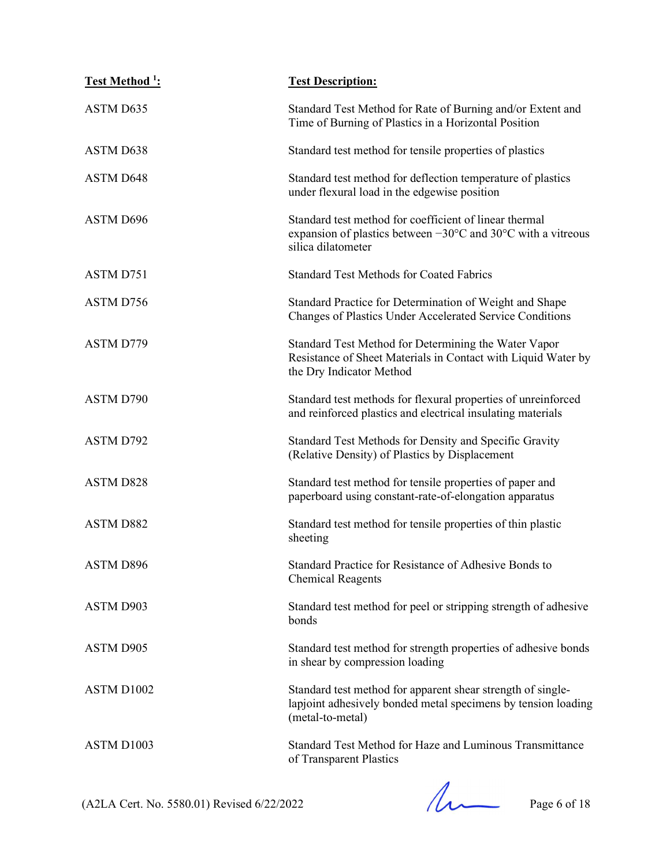| Test Method <sup>1</sup> : | <b>Test Description:</b>                                                                                                                                         |
|----------------------------|------------------------------------------------------------------------------------------------------------------------------------------------------------------|
| ASTM D635                  | Standard Test Method for Rate of Burning and/or Extent and<br>Time of Burning of Plastics in a Horizontal Position                                               |
| ASTM D638                  | Standard test method for tensile properties of plastics                                                                                                          |
| <b>ASTM D648</b>           | Standard test method for deflection temperature of plastics<br>under flexural load in the edgewise position                                                      |
| ASTM D696                  | Standard test method for coefficient of linear thermal<br>expansion of plastics between $-30^{\circ}$ C and $30^{\circ}$ C with a vitreous<br>silica dilatometer |
| ASTM D751                  | <b>Standard Test Methods for Coated Fabrics</b>                                                                                                                  |
| ASTM D756                  | Standard Practice for Determination of Weight and Shape<br>Changes of Plastics Under Accelerated Service Conditions                                              |
| ASTM D779                  | Standard Test Method for Determining the Water Vapor<br>Resistance of Sheet Materials in Contact with Liquid Water by<br>the Dry Indicator Method                |
| ASTM D790                  | Standard test methods for flexural properties of unreinforced<br>and reinforced plastics and electrical insulating materials                                     |
| ASTM D792                  | Standard Test Methods for Density and Specific Gravity<br>(Relative Density) of Plastics by Displacement                                                         |
| <b>ASTM D828</b>           | Standard test method for tensile properties of paper and<br>paperboard using constant-rate-of-elongation apparatus                                               |
| <b>ASTM D882</b>           | Standard test method for tensile properties of thin plastic<br>sheeting                                                                                          |
| <b>ASTM D896</b>           | Standard Practice for Resistance of Adhesive Bonds to<br><b>Chemical Reagents</b>                                                                                |
| ASTM D903                  | Standard test method for peel or stripping strength of adhesive<br>bonds                                                                                         |
| ASTM D905                  | Standard test method for strength properties of adhesive bonds<br>in shear by compression loading                                                                |
| ASTM D1002                 | Standard test method for apparent shear strength of single-<br>lapjoint adhesively bonded metal specimens by tension loading<br>(metal-to-metal)                 |
| ASTM D1003                 | Standard Test Method for Haze and Luminous Transmittance<br>of Transparent Plastics                                                                              |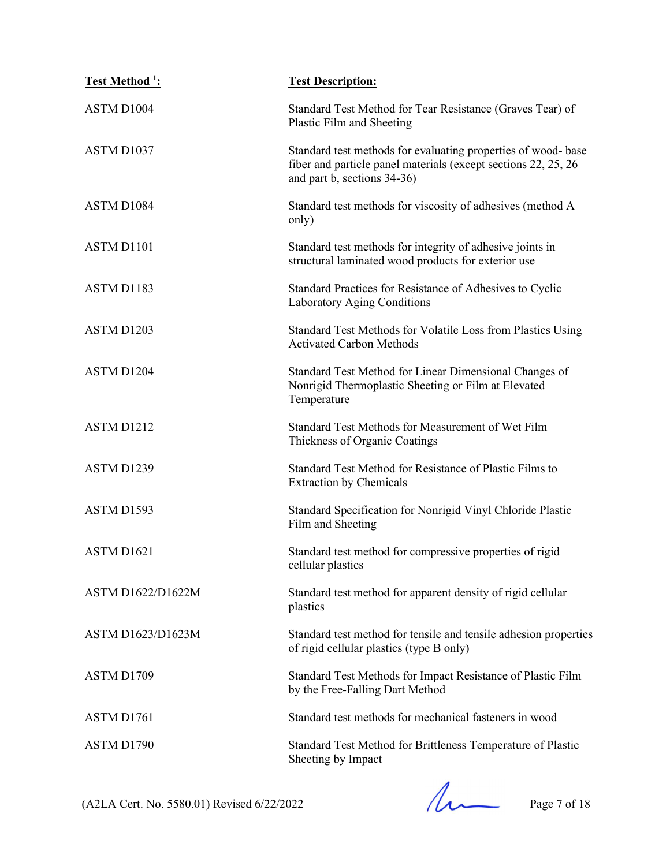| Test Method <sup>1</sup> : | <b>Test Description:</b>                                                                                                                                       |
|----------------------------|----------------------------------------------------------------------------------------------------------------------------------------------------------------|
| ASTM D1004                 | Standard Test Method for Tear Resistance (Graves Tear) of<br>Plastic Film and Sheeting                                                                         |
| ASTM D1037                 | Standard test methods for evaluating properties of wood-base<br>fiber and particle panel materials (except sections 22, 25, 26)<br>and part b, sections 34-36) |
| ASTM D1084                 | Standard test methods for viscosity of adhesives (method A<br>only)                                                                                            |
| ASTM D1101                 | Standard test methods for integrity of adhesive joints in<br>structural laminated wood products for exterior use                                               |
| ASTM D1183                 | Standard Practices for Resistance of Adhesives to Cyclic<br>Laboratory Aging Conditions                                                                        |
| ASTM D1203                 | Standard Test Methods for Volatile Loss from Plastics Using<br><b>Activated Carbon Methods</b>                                                                 |
| ASTM D1204                 | Standard Test Method for Linear Dimensional Changes of<br>Nonrigid Thermoplastic Sheeting or Film at Elevated<br>Temperature                                   |
| ASTM D1212                 | Standard Test Methods for Measurement of Wet Film<br>Thickness of Organic Coatings                                                                             |
| ASTM D1239                 | Standard Test Method for Resistance of Plastic Films to<br><b>Extraction by Chemicals</b>                                                                      |
| ASTM D1593                 | Standard Specification for Nonrigid Vinyl Chloride Plastic<br>Film and Sheeting                                                                                |
| ASTM D1621                 | Standard test method for compressive properties of rigid<br>cellular plastics                                                                                  |
| <b>ASTM D1622/D1622M</b>   | Standard test method for apparent density of rigid cellular<br>plastics                                                                                        |
| <b>ASTM D1623/D1623M</b>   | Standard test method for tensile and tensile adhesion properties<br>of rigid cellular plastics (type B only)                                                   |
| ASTM D1709                 | Standard Test Methods for Impact Resistance of Plastic Film<br>by the Free-Falling Dart Method                                                                 |
| ASTM D1761                 | Standard test methods for mechanical fasteners in wood                                                                                                         |
| ASTM D1790                 | Standard Test Method for Brittleness Temperature of Plastic<br>Sheeting by Impact                                                                              |

 $(A2LA$  Cert. No. 5580.01) Revised 6/22/2022 Page 7 of 18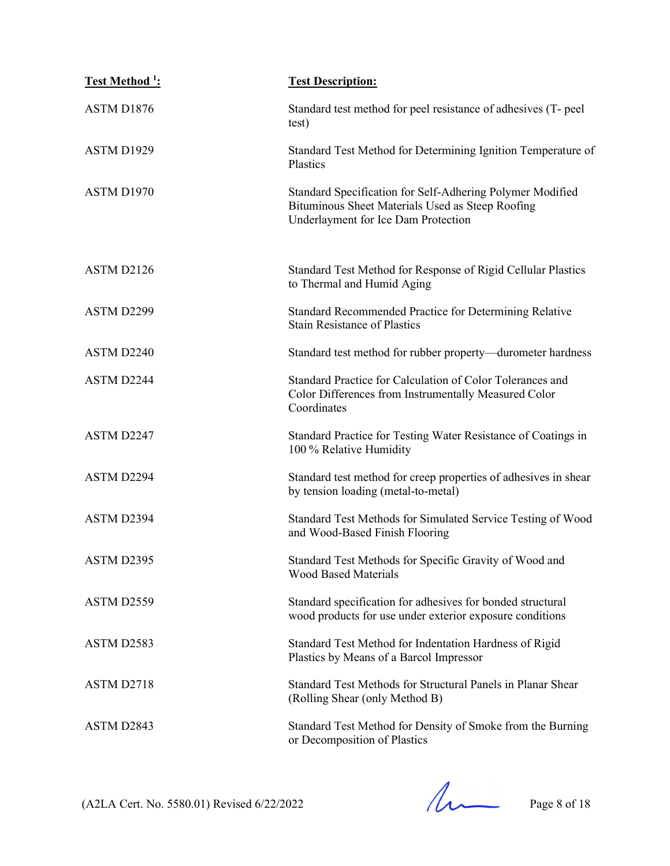| Test Method <sup>1</sup> : | <b>Test Description:</b>                                                                                                                             |
|----------------------------|------------------------------------------------------------------------------------------------------------------------------------------------------|
| ASTM D1876                 | Standard test method for peel resistance of adhesives (T- peel<br>test)                                                                              |
| ASTM D1929                 | Standard Test Method for Determining Ignition Temperature of<br>Plastics                                                                             |
| ASTM D1970                 | Standard Specification for Self-Adhering Polymer Modified<br>Bituminous Sheet Materials Used as Steep Roofing<br>Underlayment for Ice Dam Protection |
| ASTM D2126                 | Standard Test Method for Response of Rigid Cellular Plastics<br>to Thermal and Humid Aging                                                           |
| ASTM D2299                 | Standard Recommended Practice for Determining Relative<br><b>Stain Resistance of Plastics</b>                                                        |
| ASTM D2240                 | Standard test method for rubber property—durometer hardness                                                                                          |
| ASTM D2244                 | Standard Practice for Calculation of Color Tolerances and<br>Color Differences from Instrumentally Measured Color<br>Coordinates                     |
| ASTM D2247                 | Standard Practice for Testing Water Resistance of Coatings in<br>100 % Relative Humidity                                                             |
| ASTM D2294                 | Standard test method for creep properties of adhesives in shear<br>by tension loading (metal-to-metal)                                               |
| ASTM D2394                 | Standard Test Methods for Simulated Service Testing of Wood<br>and Wood-Based Finish Flooring                                                        |
| ASTM D2395                 | Standard Test Methods for Specific Gravity of Wood and<br><b>Wood Based Materials</b>                                                                |
| ASTM D2559                 | Standard specification for adhesives for bonded structural<br>wood products for use under exterior exposure conditions                               |
| ASTM D2583                 | Standard Test Method for Indentation Hardness of Rigid<br>Plastics by Means of a Barcol Impressor                                                    |
| ASTM D2718                 | Standard Test Methods for Structural Panels in Planar Shear<br>(Rolling Shear (only Method B)                                                        |
| ASTM D2843                 | Standard Test Method for Density of Smoke from the Burning<br>or Decomposition of Plastics                                                           |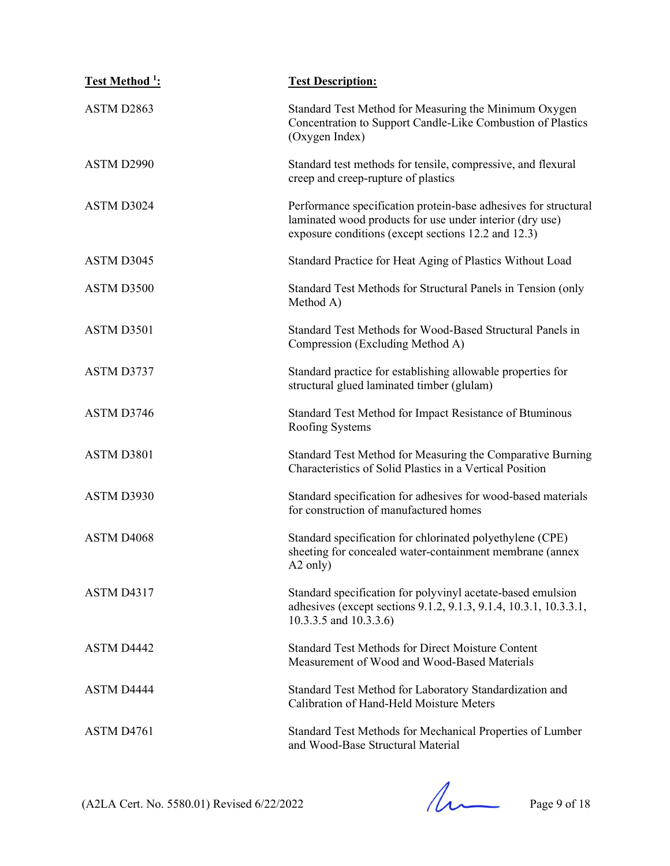| Test Method <sup>1</sup> : | <b>Test Description:</b>                                                                                                                                                           |
|----------------------------|------------------------------------------------------------------------------------------------------------------------------------------------------------------------------------|
| ASTM D2863                 | Standard Test Method for Measuring the Minimum Oxygen<br>Concentration to Support Candle-Like Combustion of Plastics<br>(Oxygen Index)                                             |
| ASTM D2990                 | Standard test methods for tensile, compressive, and flexural<br>creep and creep-rupture of plastics                                                                                |
| ASTM D3024                 | Performance specification protein-base adhesives for structural<br>laminated wood products for use under interior (dry use)<br>exposure conditions (except sections 12.2 and 12.3) |
| ASTM D3045                 | Standard Practice for Heat Aging of Plastics Without Load                                                                                                                          |
| ASTM D3500                 | Standard Test Methods for Structural Panels in Tension (only<br>Method A)                                                                                                          |
| ASTM D3501                 | Standard Test Methods for Wood-Based Structural Panels in<br>Compression (Excluding Method A)                                                                                      |
| ASTM D3737                 | Standard practice for establishing allowable properties for<br>structural glued laminated timber (glulam)                                                                          |
| ASTM D3746                 | Standard Test Method for Impact Resistance of Btuminous<br>Roofing Systems                                                                                                         |
| ASTM D3801                 | Standard Test Method for Measuring the Comparative Burning<br>Characteristics of Solid Plastics in a Vertical Position                                                             |
| ASTM D3930                 | Standard specification for adhesives for wood-based materials<br>for construction of manufactured homes                                                                            |
| ASTM D4068                 | Standard specification for chlorinated polyethylene (CPE)<br>sheeting for concealed water-containment membrane (annex<br>A2 only)                                                  |
| ASTM D4317                 | Standard specification for polyvinyl acetate-based emulsion<br>adhesives (except sections 9.1.2, 9.1.3, 9.1.4, 10.3.1, 10.3.3.1,<br>10.3.3.5 and 10.3.3.6)                         |
| ASTM D4442                 | <b>Standard Test Methods for Direct Moisture Content</b><br>Measurement of Wood and Wood-Based Materials                                                                           |
| ASTM D4444                 | Standard Test Method for Laboratory Standardization and<br>Calibration of Hand-Held Moisture Meters                                                                                |
| ASTM D4761                 | Standard Test Methods for Mechanical Properties of Lumber<br>and Wood-Base Structural Material                                                                                     |

 $(A2LA$  Cert. No. 5580.01) Revised 6/22/2022 Page 9 of 18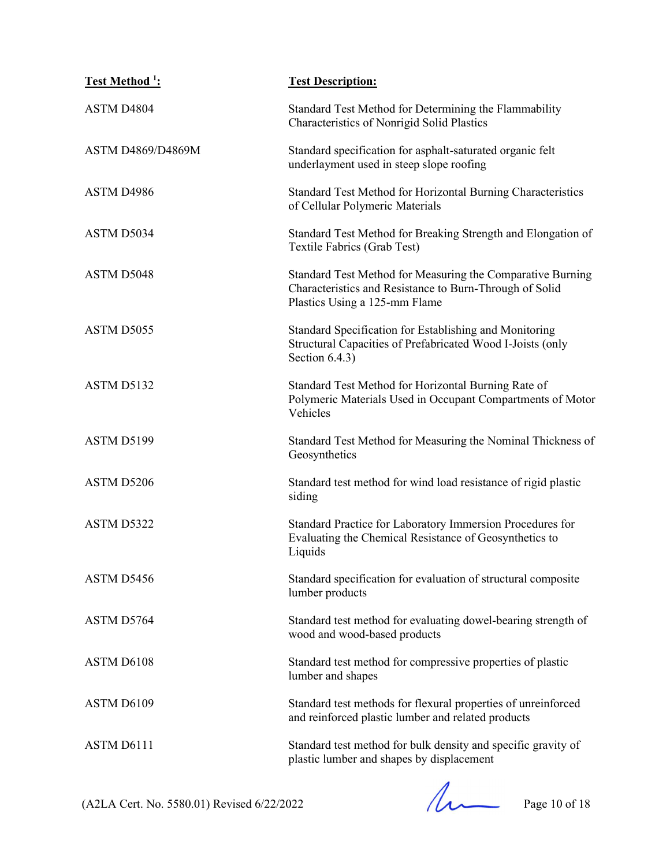| Test Method <sup>1</sup> : | <b>Test Description:</b>                                                                                                                               |
|----------------------------|--------------------------------------------------------------------------------------------------------------------------------------------------------|
| ASTM D4804                 | Standard Test Method for Determining the Flammability<br>Characteristics of Nonrigid Solid Plastics                                                    |
| <b>ASTM D4869/D4869M</b>   | Standard specification for asphalt-saturated organic felt<br>underlayment used in steep slope roofing                                                  |
| ASTM D4986                 | Standard Test Method for Horizontal Burning Characteristics<br>of Cellular Polymeric Materials                                                         |
| ASTM D5034                 | Standard Test Method for Breaking Strength and Elongation of<br>Textile Fabrics (Grab Test)                                                            |
| ASTM D5048                 | Standard Test Method for Measuring the Comparative Burning<br>Characteristics and Resistance to Burn-Through of Solid<br>Plastics Using a 125-mm Flame |
| ASTM D5055                 | Standard Specification for Establishing and Monitoring<br>Structural Capacities of Prefabricated Wood I-Joists (only<br>Section $6.4.3$ )              |
| ASTM D5132                 | Standard Test Method for Horizontal Burning Rate of<br>Polymeric Materials Used in Occupant Compartments of Motor<br>Vehicles                          |
| ASTM D5199                 | Standard Test Method for Measuring the Nominal Thickness of<br>Geosynthetics                                                                           |
| ASTM D5206                 | Standard test method for wind load resistance of rigid plastic<br>siding                                                                               |
| ASTM D5322                 | Standard Practice for Laboratory Immersion Procedures for<br>Evaluating the Chemical Resistance of Geosynthetics to<br>Liquids                         |
| ASTM D5456                 | Standard specification for evaluation of structural composite<br>lumber products                                                                       |
| ASTM D5764                 | Standard test method for evaluating dowel-bearing strength of<br>wood and wood-based products                                                          |
| ASTM D6108                 | Standard test method for compressive properties of plastic<br>lumber and shapes                                                                        |
| ASTM D6109                 | Standard test methods for flexural properties of unreinforced<br>and reinforced plastic lumber and related products                                    |
| ASTM D6111                 | Standard test method for bulk density and specific gravity of<br>plastic lumber and shapes by displacement                                             |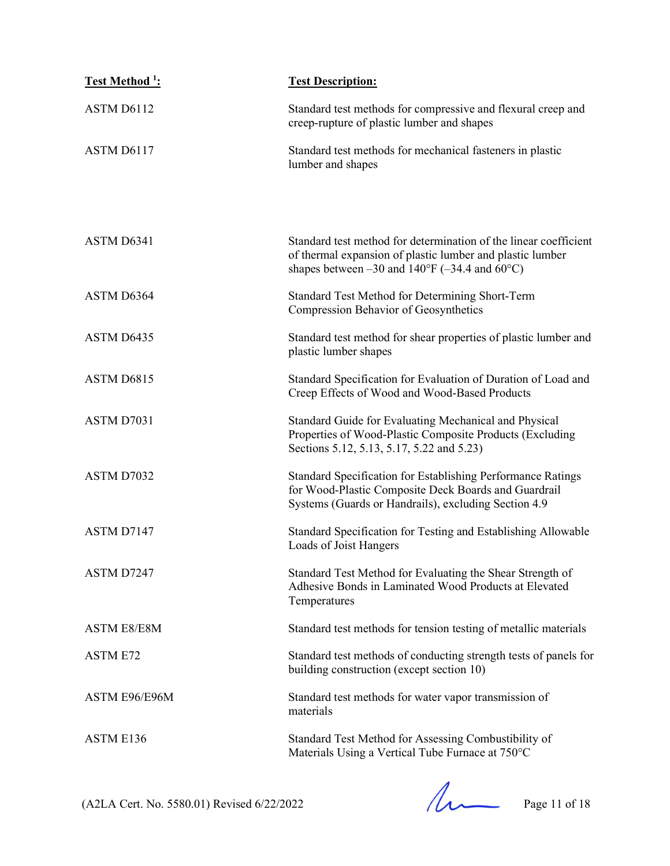| Test Method <sup>1</sup> : | <b>Test Description:</b>                                                                                                                                                                           |
|----------------------------|----------------------------------------------------------------------------------------------------------------------------------------------------------------------------------------------------|
| ASTM D6112                 | Standard test methods for compressive and flexural creep and<br>creep-rupture of plastic lumber and shapes                                                                                         |
| ASTM D6117                 | Standard test methods for mechanical fasteners in plastic<br>lumber and shapes                                                                                                                     |
|                            |                                                                                                                                                                                                    |
| ASTM D6341                 | Standard test method for determination of the linear coefficient<br>of thermal expansion of plastic lumber and plastic lumber<br>shapes between $-30$ and $140^{\circ}F (-34.4$ and $60^{\circ}C)$ |
| ASTM D6364                 | Standard Test Method for Determining Short-Term<br>Compression Behavior of Geosynthetics                                                                                                           |
| ASTM D6435                 | Standard test method for shear properties of plastic lumber and<br>plastic lumber shapes                                                                                                           |
| ASTM D6815                 | Standard Specification for Evaluation of Duration of Load and<br>Creep Effects of Wood and Wood-Based Products                                                                                     |
| ASTM D7031                 | Standard Guide for Evaluating Mechanical and Physical<br>Properties of Wood-Plastic Composite Products (Excluding<br>Sections 5.12, 5.13, 5.17, 5.22 and 5.23)                                     |
| ASTM D7032                 | Standard Specification for Establishing Performance Ratings<br>for Wood-Plastic Composite Deck Boards and Guardrail<br>Systems (Guards or Handrails), excluding Section 4.9                        |
| ASTM D7147                 | Standard Specification for Testing and Establishing Allowable<br>Loads of Joist Hangers                                                                                                            |
| ASTM D7247                 | Standard Test Method for Evaluating the Shear Strength of<br>Adhesive Bonds in Laminated Wood Products at Elevated<br>Temperatures                                                                 |
| <b>ASTM E8/E8M</b>         | Standard test methods for tension testing of metallic materials                                                                                                                                    |
| <b>ASTM E72</b>            | Standard test methods of conducting strength tests of panels for<br>building construction (except section 10)                                                                                      |
| ASTM E96/E96M              | Standard test methods for water vapor transmission of<br>materials                                                                                                                                 |
| ASTM E136                  | Standard Test Method for Assessing Combustibility of<br>Materials Using a Vertical Tube Furnace at 750°C                                                                                           |

 $(A2LA$  Cert. No. 5580.01) Revised 6/22/2022 Page 11 of 18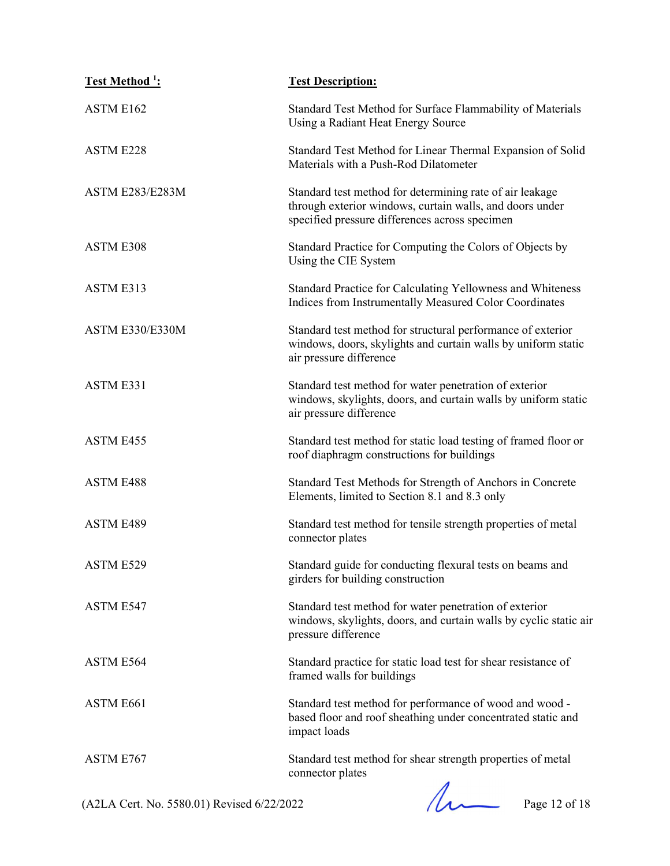| <b>Test Method 1:</b>  | <b>Test Description:</b>                                                                                                                                               |
|------------------------|------------------------------------------------------------------------------------------------------------------------------------------------------------------------|
| <b>ASTM E162</b>       | Standard Test Method for Surface Flammability of Materials<br>Using a Radiant Heat Energy Source                                                                       |
| ASTM E228              | Standard Test Method for Linear Thermal Expansion of Solid<br>Materials with a Push-Rod Dilatometer                                                                    |
| <b>ASTM E283/E283M</b> | Standard test method for determining rate of air leakage<br>through exterior windows, curtain walls, and doors under<br>specified pressure differences across specimen |
| ASTM E308              | Standard Practice for Computing the Colors of Objects by<br>Using the CIE System                                                                                       |
| ASTM E313              | Standard Practice for Calculating Yellowness and Whiteness<br>Indices from Instrumentally Measured Color Coordinates                                                   |
| ASTM E330/E330M        | Standard test method for structural performance of exterior<br>windows, doors, skylights and curtain walls by uniform static<br>air pressure difference                |
| ASTM E331              | Standard test method for water penetration of exterior<br>windows, skylights, doors, and curtain walls by uniform static<br>air pressure difference                    |
| ASTM E455              | Standard test method for static load testing of framed floor or<br>roof diaphragm constructions for buildings                                                          |
| <b>ASTM E488</b>       | Standard Test Methods for Strength of Anchors in Concrete<br>Elements, limited to Section 8.1 and 8.3 only                                                             |
| ASTM E489              | Standard test method for tensile strength properties of metal<br>connector plates                                                                                      |
| ASTM E529              | Standard guide for conducting flexural tests on beams and<br>girders for building construction                                                                         |
| ASTM E547              | Standard test method for water penetration of exterior<br>windows, skylights, doors, and curtain walls by cyclic static air<br>pressure difference                     |
| ASTM E564              | Standard practice for static load test for shear resistance of<br>framed walls for buildings                                                                           |
| ASTM E661              | Standard test method for performance of wood and wood -<br>based floor and roof sheathing under concentrated static and<br>impact loads                                |
| ASTM E767              | Standard test method for shear strength properties of metal<br>connector plates                                                                                        |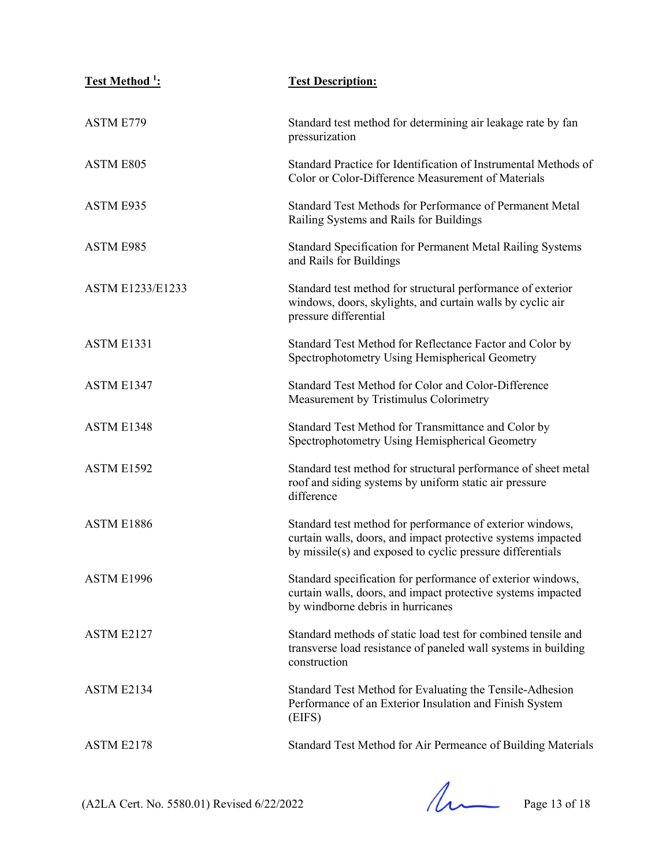| <u>Test Method <sup>1</sup></u> : | <b>Test Description:</b>                                                                                                                                                                |
|-----------------------------------|-----------------------------------------------------------------------------------------------------------------------------------------------------------------------------------------|
| <b>ASTM E779</b>                  | Standard test method for determining air leakage rate by fan<br>pressurization                                                                                                          |
| <b>ASTM E805</b>                  | Standard Practice for Identification of Instrumental Methods of<br>Color or Color-Difference Measurement of Materials                                                                   |
| ASTM E935                         | Standard Test Methods for Performance of Permanent Metal<br>Railing Systems and Rails for Buildings                                                                                     |
| ASTM E985                         | Standard Specification for Permanent Metal Railing Systems<br>and Rails for Buildings                                                                                                   |
| <b>ASTM E1233/E1233</b>           | Standard test method for structural performance of exterior<br>windows, doors, skylights, and curtain walls by cyclic air<br>pressure differential                                      |
| <b>ASTM E1331</b>                 | Standard Test Method for Reflectance Factor and Color by<br>Spectrophotometry Using Hemispherical Geometry                                                                              |
| ASTM E1347                        | Standard Test Method for Color and Color-Difference<br>Measurement by Tristimulus Colorimetry                                                                                           |
| ASTM E1348                        | Standard Test Method for Transmittance and Color by<br>Spectrophotometry Using Hemispherical Geometry                                                                                   |
| ASTM E1592                        | Standard test method for structural performance of sheet metal<br>roof and siding systems by uniform static air pressure<br>difference                                                  |
| ASTM E1886                        | Standard test method for performance of exterior windows,<br>curtain walls, doors, and impact protective systems impacted<br>by missile(s) and exposed to cyclic pressure differentials |
| ASTM E1996                        | Standard specification for performance of exterior windows,<br>curtain walls, doors, and impact protective systems impacted<br>by windborne debris in hurricanes                        |
| ASTM E2127                        | Standard methods of static load test for combined tensile and<br>transverse load resistance of paneled wall systems in building<br>construction                                         |
| ASTM E2134                        | Standard Test Method for Evaluating the Tensile-Adhesion<br>Performance of an Exterior Insulation and Finish System<br>(EIFS)                                                           |
| ASTM E2178                        | Standard Test Method for Air Permeance of Building Materials                                                                                                                            |

(A2LA Cert. No. 5580.01) Revised 6/22/2022 Page 13 of 18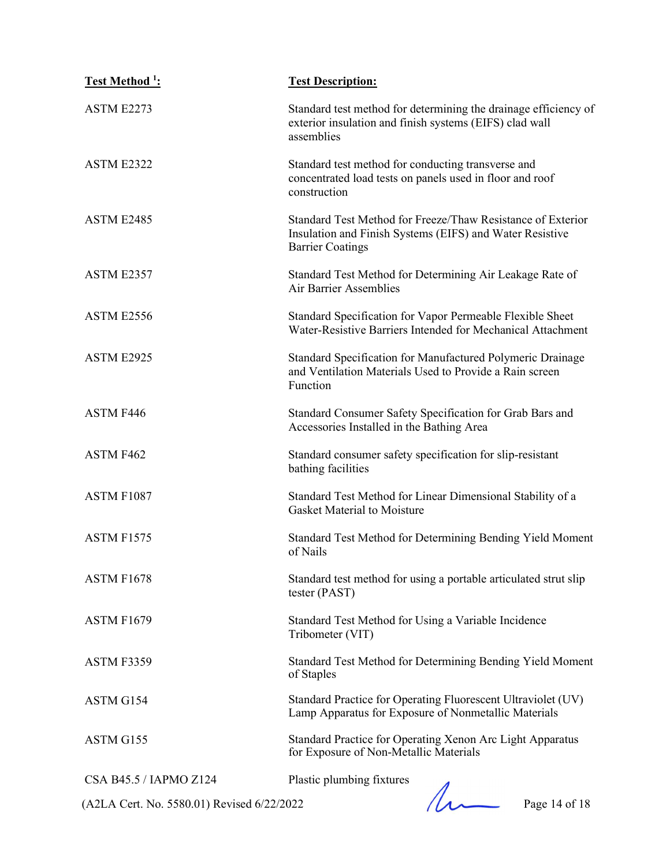| <b>Test Method 1:</b>                      | <b>Test Description:</b>                                                                                                                           |
|--------------------------------------------|----------------------------------------------------------------------------------------------------------------------------------------------------|
| ASTM E2273                                 | Standard test method for determining the drainage efficiency of<br>exterior insulation and finish systems (EIFS) clad wall<br>assemblies           |
| ASTM E2322                                 | Standard test method for conducting transverse and<br>concentrated load tests on panels used in floor and roof<br>construction                     |
| ASTM E2485                                 | Standard Test Method for Freeze/Thaw Resistance of Exterior<br>Insulation and Finish Systems (EIFS) and Water Resistive<br><b>Barrier Coatings</b> |
| ASTM E2357                                 | Standard Test Method for Determining Air Leakage Rate of<br><b>Air Barrier Assemblies</b>                                                          |
| ASTM E2556                                 | Standard Specification for Vapor Permeable Flexible Sheet<br>Water-Resistive Barriers Intended for Mechanical Attachment                           |
| ASTM E2925                                 | Standard Specification for Manufactured Polymeric Drainage<br>and Ventilation Materials Used to Provide a Rain screen<br>Function                  |
| ASTM F446                                  | Standard Consumer Safety Specification for Grab Bars and<br>Accessories Installed in the Bathing Area                                              |
| ASTM F462                                  | Standard consumer safety specification for slip-resistant<br>bathing facilities                                                                    |
| ASTM F1087                                 | Standard Test Method for Linear Dimensional Stability of a<br><b>Gasket Material to Moisture</b>                                                   |
| ASTM F1575                                 | Standard Test Method for Determining Bending Yield Moment<br>of Nails                                                                              |
| ASTM F1678                                 | Standard test method for using a portable articulated strut slip<br>tester (PAST)                                                                  |
| <b>ASTM F1679</b>                          | Standard Test Method for Using a Variable Incidence<br>Tribometer (VIT)                                                                            |
| ASTM F3359                                 | Standard Test Method for Determining Bending Yield Moment<br>of Staples                                                                            |
| ASTM G154                                  | Standard Practice for Operating Fluorescent Ultraviolet (UV)<br>Lamp Apparatus for Exposure of Nonmetallic Materials                               |
| ASTM G155                                  | Standard Practice for Operating Xenon Arc Light Apparatus<br>for Exposure of Non-Metallic Materials                                                |
| CSA B45.5 / IAPMO Z124                     | Plastic plumbing fixtures                                                                                                                          |
| (A2LA Cert. No. 5580.01) Revised 6/22/2022 | Page 14 of 18                                                                                                                                      |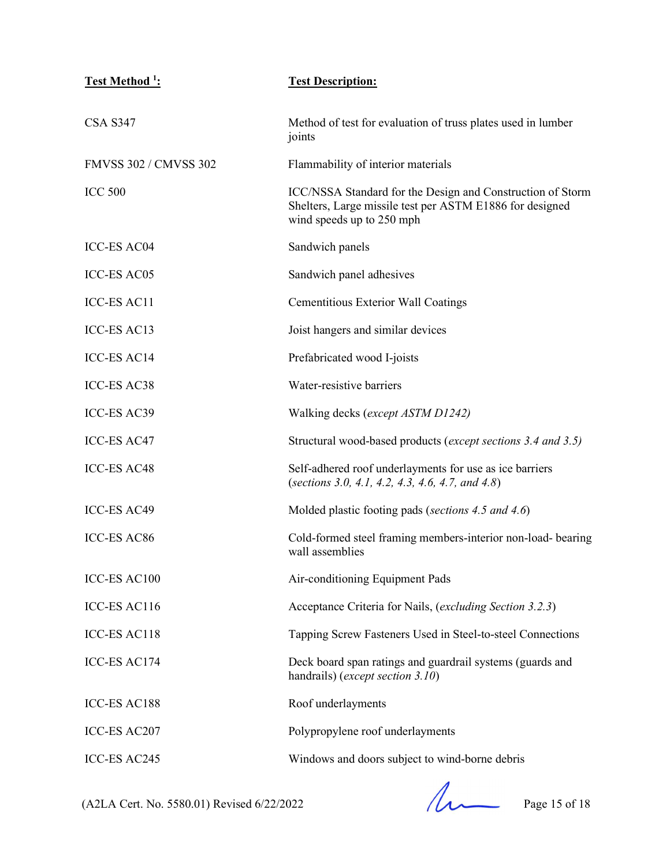| <u>Test Method <sup>1</sup>:</u> | <b>Test Description:</b>                                                                                                                            |
|----------------------------------|-----------------------------------------------------------------------------------------------------------------------------------------------------|
| <b>CSA S347</b>                  | Method of test for evaluation of truss plates used in lumber<br>joints                                                                              |
| <b>FMVSS 302 / CMVSS 302</b>     | Flammability of interior materials                                                                                                                  |
| <b>ICC 500</b>                   | ICC/NSSA Standard for the Design and Construction of Storm<br>Shelters, Large missile test per ASTM E1886 for designed<br>wind speeds up to 250 mph |
| <b>ICC-ES AC04</b>               | Sandwich panels                                                                                                                                     |
| <b>ICC-ES AC05</b>               | Sandwich panel adhesives                                                                                                                            |
| <b>ICC-ES AC11</b>               | <b>Cementitious Exterior Wall Coatings</b>                                                                                                          |
| <b>ICC-ES AC13</b>               | Joist hangers and similar devices                                                                                                                   |
| <b>ICC-ES AC14</b>               | Prefabricated wood I-joists                                                                                                                         |
| <b>ICC-ES AC38</b>               | Water-resistive barriers                                                                                                                            |
| ICC-ES AC39                      | Walking decks (except ASTM D1242)                                                                                                                   |
| <b>ICC-ES AC47</b>               | Structural wood-based products (except sections 3.4 and 3.5)                                                                                        |
| <b>ICC-ES AC48</b>               | Self-adhered roof underlayments for use as ice barriers<br>(sections 3.0, 4.1, 4.2, 4.3, 4.6, 4.7, and 4.8)                                         |
| <b>ICC-ES AC49</b>               | Molded plastic footing pads (sections 4.5 and 4.6)                                                                                                  |
| <b>ICC-ES AC86</b>               | Cold-formed steel framing members-interior non-load- bearing<br>wall assemblies                                                                     |
| ICC-ES AC100                     | Air-conditioning Equipment Pads                                                                                                                     |
| ICC-ES AC116                     | Acceptance Criteria for Nails, (excluding Section 3.2.3)                                                                                            |
| ICC-ES AC118                     | Tapping Screw Fasteners Used in Steel-to-steel Connections                                                                                          |
| ICC-ES AC174                     | Deck board span ratings and guardrail systems (guards and<br>handrails) (except section 3.10)                                                       |
| <b>ICC-ES AC188</b>              | Roof underlayments                                                                                                                                  |
| ICC-ES AC207                     | Polypropylene roof underlayments                                                                                                                    |
| ICC-ES AC245                     | Windows and doors subject to wind-borne debris                                                                                                      |

(A2LA Cert. No. 5580.01) Revised 6/22/2022 Page 15 of 18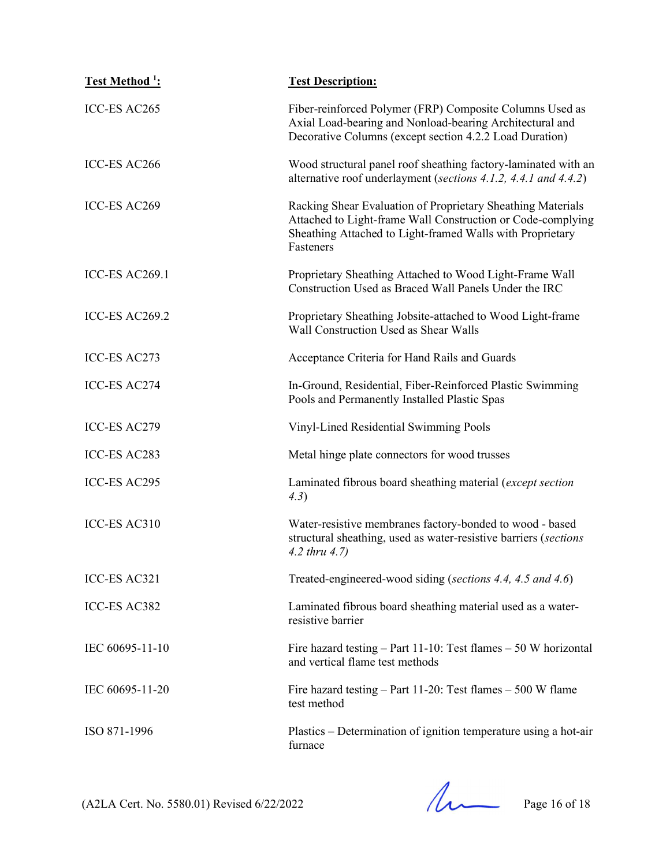| Test Method <sup>1</sup> : | <b>Test Description:</b>                                                                                                                                                                             |
|----------------------------|------------------------------------------------------------------------------------------------------------------------------------------------------------------------------------------------------|
| ICC-ES AC265               | Fiber-reinforced Polymer (FRP) Composite Columns Used as<br>Axial Load-bearing and Nonload-bearing Architectural and<br>Decorative Columns (except section 4.2.2 Load Duration)                      |
| ICC-ES AC266               | Wood structural panel roof sheathing factory-laminated with an<br>alternative roof underlayment (sections 4.1.2, 4.4.1 and 4.4.2)                                                                    |
| ICC-ES AC269               | Racking Shear Evaluation of Proprietary Sheathing Materials<br>Attached to Light-frame Wall Construction or Code-complying<br>Sheathing Attached to Light-framed Walls with Proprietary<br>Fasteners |
| ICC-ES AC269.1             | Proprietary Sheathing Attached to Wood Light-Frame Wall<br>Construction Used as Braced Wall Panels Under the IRC                                                                                     |
| ICC-ES AC269.2             | Proprietary Sheathing Jobsite-attached to Wood Light-frame<br>Wall Construction Used as Shear Walls                                                                                                  |
| ICC-ES AC273               | Acceptance Criteria for Hand Rails and Guards                                                                                                                                                        |
| <b>ICC-ES AC274</b>        | In-Ground, Residential, Fiber-Reinforced Plastic Swimming<br>Pools and Permanently Installed Plastic Spas                                                                                            |
| ICC-ES AC279               | Vinyl-Lined Residential Swimming Pools                                                                                                                                                               |
| ICC-ES AC283               | Metal hinge plate connectors for wood trusses                                                                                                                                                        |
| ICC-ES AC295               | Laminated fibrous board sheathing material (except section<br>4.3)                                                                                                                                   |
| ICC-ES AC310               | Water-resistive membranes factory-bonded to wood - based<br>structural sheathing, used as water-resistive barriers (sections<br>$4.2$ thru $4.7$ )                                                   |
| ICC-ES AC321               | Treated-engineered-wood siding (sections 4.4, 4.5 and 4.6)                                                                                                                                           |
| ICC-ES AC382               | Laminated fibrous board sheathing material used as a water-<br>resistive barrier                                                                                                                     |
| IEC 60695-11-10            | Fire hazard testing $-$ Part 11-10: Test flames $-50$ W horizontal<br>and vertical flame test methods                                                                                                |
| IEC 60695-11-20            | Fire hazard testing $-$ Part 11-20: Test flames $-500$ W flame<br>test method                                                                                                                        |
| ISO 871-1996               | Plastics – Determination of ignition temperature using a hot-air<br>furnace                                                                                                                          |

 $(A2LA$  Cert. No. 5580.01) Revised 6/22/2022 Page 16 of 18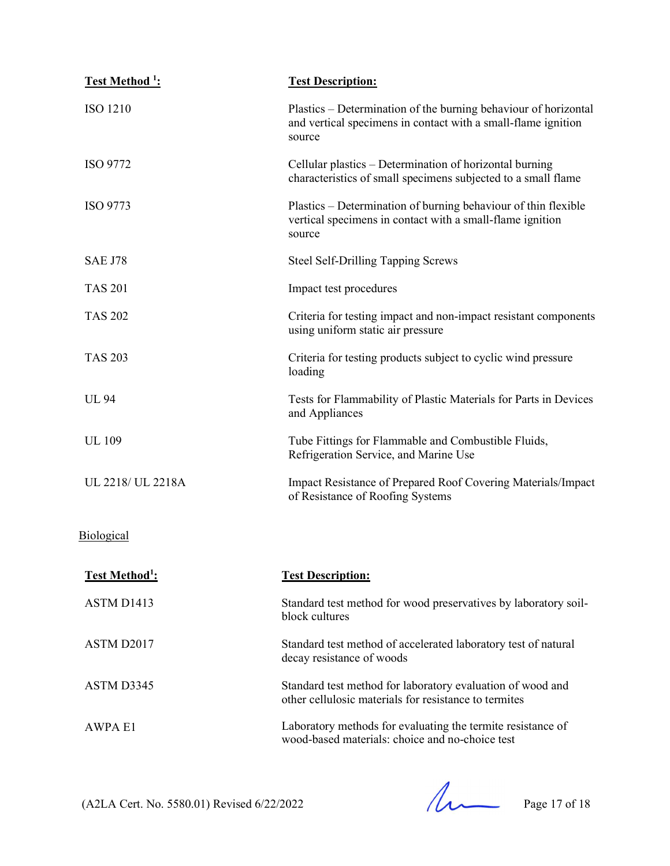| Test Method <sup>1</sup> :        | <b>Test Description:</b>                                                                                                                   |
|-----------------------------------|--------------------------------------------------------------------------------------------------------------------------------------------|
| <b>ISO 1210</b>                   | Plastics – Determination of the burning behaviour of horizontal<br>and vertical specimens in contact with a small-flame ignition<br>source |
| ISO 9772                          | Cellular plastics – Determination of horizontal burning<br>characteristics of small specimens subjected to a small flame                   |
| ISO 9773                          | Plastics – Determination of burning behaviour of thin flexible<br>vertical specimens in contact with a small-flame ignition<br>source      |
| <b>SAE J78</b>                    | <b>Steel Self-Drilling Tapping Screws</b>                                                                                                  |
| <b>TAS 201</b>                    | Impact test procedures                                                                                                                     |
| <b>TAS 202</b>                    | Criteria for testing impact and non-impact resistant components<br>using uniform static air pressure                                       |
| <b>TAS 203</b>                    | Criteria for testing products subject to cyclic wind pressure<br>loading                                                                   |
| <b>UL 94</b>                      | Tests for Flammability of Plastic Materials for Parts in Devices<br>and Appliances                                                         |
| <b>UL</b> 109                     | Tube Fittings for Flammable and Combustible Fluids,<br>Refrigeration Service, and Marine Use                                               |
| UL 2218/ UL 2218A                 | Impact Resistance of Prepared Roof Covering Materials/Impact<br>of Resistance of Roofing Systems                                           |
| Biological                        |                                                                                                                                            |
| <b>Test Method</b> <sup>1</sup> : | <b>Test Description:</b>                                                                                                                   |
| ASTM D1413                        | Standard test method for wood preservatives by laboratory soil-<br>block cultures                                                          |
| ASTM D2017                        | Standard test method of accelerated laboratory test of natural<br>decay resistance of woods                                                |
| ASTM D3345                        | Standard test method for laboratory evaluation of wood and<br>other cellulosic materials for resistance to termites                        |
| <b>AWPA E1</b>                    | Laboratory methods for evaluating the termite resistance of<br>wood-based materials: choice and no-choice test                             |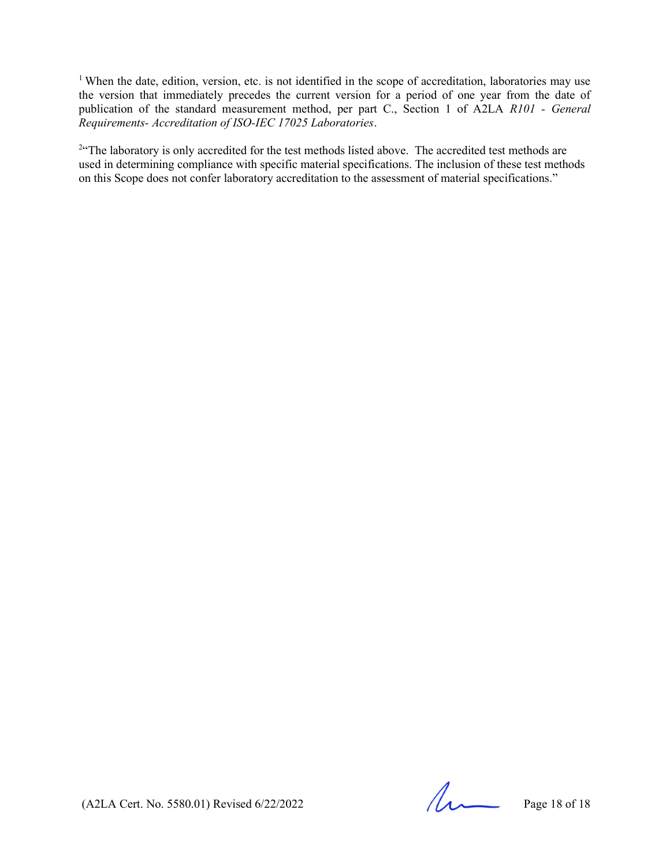<sup>1</sup> When the date, edition, version, etc. is not identified in the scope of accreditation, laboratories may use the version that immediately precedes the current version for a period of one year from the date of publication of the standard measurement method, per part C., Section 1 of A2LA R101 - General Requirements- Accreditation of ISO-IEC 17025 Laboratories.

<sup>2"</sup>The laboratory is only accredited for the test methods listed above. The accredited test methods are used in determining compliance with specific material specifications. The inclusion of these test methods on this Scope does not confer laboratory accreditation to the assessment of material specifications."